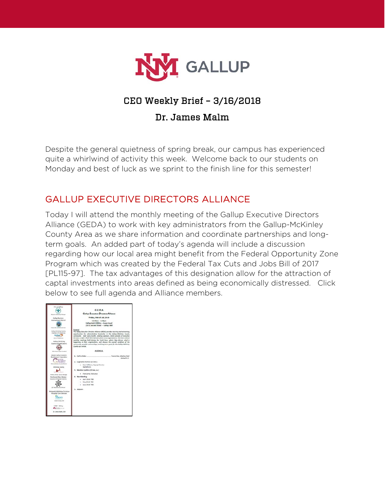

# CEO Weekly Brief – 3/16/2018

### Dr. James Malm

Despite the general quietness of spring break, our campus has experienced quite a whirlwind of activity this week. Welcome back to our students on Monday and best of luck as we sprint to the finish line for this semester!

## GALLUP EXECUTIVE DIRECTORS ALLIANCE

Today I will attend the monthly meeting of the Gallup Executive Directors Alliance (GEDA) to work with key administrators from the Gallup-McKinley County Area as we share information and coordinate partnerships and longterm goals. An added part of today's agenda will include a discussion regarding how our local area might benefit from the Federal Opportunity Zone Program which was created by the Federal Tax Cuts and Jobs Bill of 2017 [PL115-97]. The tax advantages of this designation allow for the attraction of captal investments into areas defined as being economically distressed. Click below to see full agenda and Alliance members.

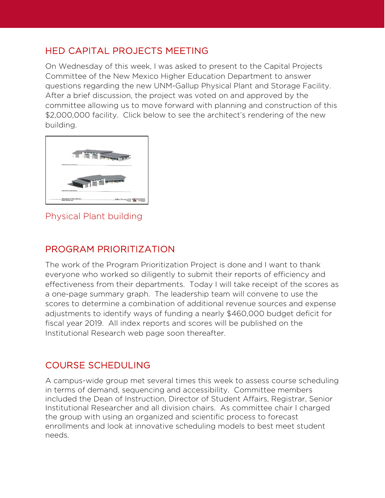# HED CAPITAL PROJECTS MEETING

On Wednesday of this week, I was asked to present to the Capital Projects Committee of the New Mexico Higher Education Department to answer questions regarding the new UNM-Gallup Physical Plant and Storage Facility. After a brief discussion, the project was voted on and approved by the committee allowing us to move forward with planning and construction of this \$2,000,000 facility. Click below to see the architect's rendering of the new building.



Physical Plant building

### PROGRAM PRIORITIZATION

The work of the Program Prioritization Project is done and I want to thank everyone who worked so diligently to submit their reports of efficiency and effectiveness from their departments. Today I will take receipt of the scores as a one-page summary graph. The leadership team will convene to use the scores to determine a combination of additional revenue sources and expense adjustments to identify ways of funding a nearly \$460,000 budget deficit for fiscal year 2019. All index reports and scores will be published on the Institutional Research web page soon thereafter.

## COURSE SCHEDULING

A campus-wide group met several times this week to assess course scheduling in terms of demand, sequencing and accessibility. Committee members included the Dean of Instruction, Director of Student Affairs, Registrar, Senior Institutional Researcher and all division chairs. As committee chair I charged the group with using an organized and scientific process to forecast enrollments and look at innovative scheduling models to best meet student needs.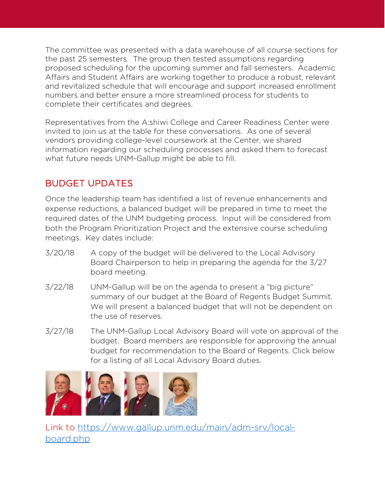The committee was presented with a data warehouse of all course sections for the past 25 semesters. The group then tested assumptions regarding proposed scheduling for the upcoming summer and fall semesters. Academic Affairs and Student Affairs are working together to produce a robust, relevant and revitalized schedule that will encourage and support increased enrollment numbers and better ensure a more streamlined process for students to complete their certificates and degrees.

Representatives from the A:shiwi College and Career Readiness Center were invited to join us at the table for these conversations. As one of several vendors providing college-level coursework at the Center, we shared information regarding our scheduling processes and asked them to forecast what future needs UNM-Gallup might be able to fill.

## BUDGET UPDATES

Once the leadership team has identified a list of revenue enhancements and expense reductions, a balanced budget will be prepared in time to meet the required dates of the UNM budgeting process. Input will be considered from both the Program Prioritization Project and the extensive course scheduling meetings. Key dates include:

- 3/20/18 A copy of the budget will be delivered to the Local Advisory Board Chairperson to help in preparing the agenda for the 3/27 board meeting.
- 3/22/18 UNM-Gallup will be on the agenda to present a "big picture" summary of our budget at the Board of Regents Budget Summit. We will present a balanced budget that will not be dependent on the use of reserves.
- 3/27/18 The UNM-Gallup Local Advisory Board will vote on approval of the budget. Board members are responsible for approving the annual budget for recommendation to the Board of Regents. Click below for a listing of all Local Advisory Board duties.



Link to [https://www.gallup.unm.edu/main/adm-srv/local](https://www.gallup.unm.edu/main/adm-srv/local-board.php)[board.php](https://www.gallup.unm.edu/main/adm-srv/local-board.php)